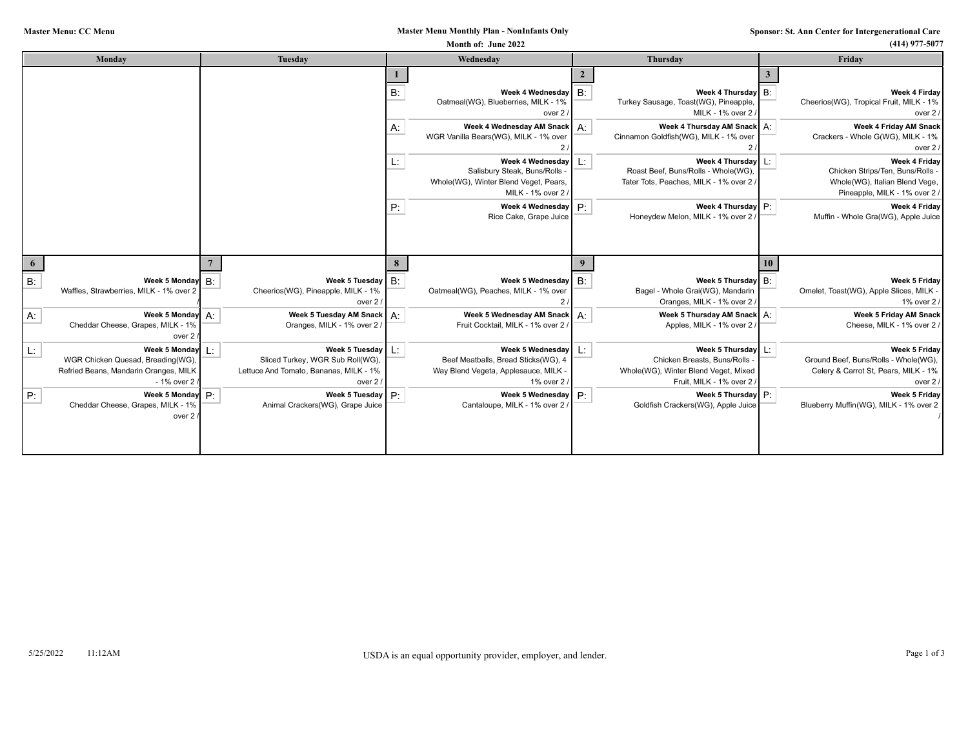## **Master Menu Monthly Plan - NonInfants Only**

| $(414)$ 977-5077                                                                                                     | Month of: June 2022 |                                                                                                                        |                                                                                                                    |           |                                                                                                                                      |                                                                                                               |    |  |  |  |
|----------------------------------------------------------------------------------------------------------------------|---------------------|------------------------------------------------------------------------------------------------------------------------|--------------------------------------------------------------------------------------------------------------------|-----------|--------------------------------------------------------------------------------------------------------------------------------------|---------------------------------------------------------------------------------------------------------------|----|--|--|--|
| Friday                                                                                                               |                     | Thursday                                                                                                               | Wednesday                                                                                                          | Tuesday   | Monday                                                                                                                               |                                                                                                               |    |  |  |  |
| Week 4 Firday<br>Cheerios(WG), Tropical Fruit, MILK - 1%<br>over 2                                                   |                     | Week 4 Thursday B:<br>Turkey Sausage, Toast(WG), Pineapple,<br>MILK - 1% over 2                                        | Week 4 Wednesday $\mid$ B:<br>Oatmeal(WG), Blueberries, MILK - 1%<br>over 2                                        | <b>B:</b> |                                                                                                                                      |                                                                                                               |    |  |  |  |
| Week 4 Friday AM Snack<br>Crackers - Whole G(WG), MILK - 1%<br>over 2                                                |                     | Week 4 Thursday AM Snack   A:<br>Cinnamon Goldfish(WG), MILK - 1% over                                                 | Week 4 Wednesday AM Snack   A:<br>WGR Vanilla Bears(WG), MILK - 1% over                                            | Α.        |                                                                                                                                      |                                                                                                               |    |  |  |  |
| Week 4 Friday<br>Chicken Strips/Ten, Buns/Rolls -<br>Whole(WG), Italian Blend Vege,<br>Pineapple, MILK - 1% over 2 / |                     | Week 4 Thursday<br>Roast Beef, Buns/Rolls - Whole(WG),<br>Tater Tots, Peaches, MILK - 1% over 2,                       | Week 4 Wednesday<br>Ŀ.<br>Salisbury Steak, Buns/Rolls<br>Whole(WG), Winter Blend Veget, Pears,<br>MILK - 1% over 2 | L.        |                                                                                                                                      |                                                                                                               |    |  |  |  |
| Week 4 Fridav<br>Muffin - Whole Gra(WG), Apple Juice                                                                 |                     | Week 4 Thursday P:<br>Honeydew Melon, MILK - 1% over 2                                                                 | Week 4 Wednesday $\boxed{P}$ :<br>Rice Cake, Grape Juice                                                           | P:        |                                                                                                                                      |                                                                                                               |    |  |  |  |
|                                                                                                                      | 10                  |                                                                                                                        |                                                                                                                    |           |                                                                                                                                      |                                                                                                               | 6  |  |  |  |
| Week 5 Friday<br>Omelet, Toast(WG), Apple Slices, MILK -<br>1% over 2 /                                              |                     | Week 5 Thursday B:<br>Bagel - Whole Grai(WG), Mandarin<br>Oranges, MILK - 1% over 2                                    | B:<br>Week 5 Wednesday<br>Oatmeal(WG), Peaches, MILK - 1% over                                                     | B:        | Week 5 Tuesday<br>Cheerios(WG), Pineapple, MILK - 1%<br>over 2                                                                       | Week 5 Monday $\mathsf{B}$ :<br>Waffles, Strawberries, MILK - 1% over 2                                       | B: |  |  |  |
| Week 5 Friday AM Snack<br>Cheese, MILK - 1% over 2                                                                   | A:                  | Week 5 Thursday AM Snack<br>Apples, MILK - 1% over 2                                                                   | Week 5 Wednesday AM Snack   A:<br>Fruit Cocktail, MILK - 1% over 2                                                 |           | Week 5 Tuesday AM Snack   A:<br>Oranges, MILK - 1% over 2                                                                            | Week 5 Monday $A$ :<br>Cheddar Cheese, Grapes, MILK - 1%<br>over 2                                            | А: |  |  |  |
| Week 5 Friday<br>Ground Beef, Buns/Rolls - Whole(WG),<br>Celery & Carrot St, Pears, MILK - 1%<br>over 2              |                     | Week 5 Thursday   L:<br>Chicken Breasts, Buns/Rolls<br>Whole(WG), Winter Blend Veget, Mixed<br>Fruit. MILK - 1% over 2 | Week 5 Wednesday   L:<br>Beef Meatballs, Bread Sticks(WG), 4<br>Way Blend Vegeta, Applesauce, MILK -<br>1% over 2  |           | Week 5 Tuesday $\lfloor \frac{L}{2} \rfloor$<br>Sliced Turkey, WGR Sub Roll(WG),<br>Lettuce And Tomato, Bananas, MILK - 1%<br>over 2 | Week 5 Monday L:<br>WGR Chicken Quesad, Breading(WG),<br>Refried Beans, Mandarin Oranges, MILK<br>- 1% over 2 | L. |  |  |  |
| Week 5 Friday<br>Blueberry Muffin(WG), MILK - 1% over 2                                                              |                     | Week 5 Thursday P:<br>Goldfish Crackers(WG), Apple Juice                                                               | P:<br>Week 5 Wednesday<br>Cantaloupe, MILK - 1% over 2                                                             | P:        | Week 5 Tuesday<br>Animal Crackers(WG), Grape Juice                                                                                   | Week 5 Monday $P$ :<br>Cheddar Cheese, Grapes, MILK - 19<br>over 2                                            | P: |  |  |  |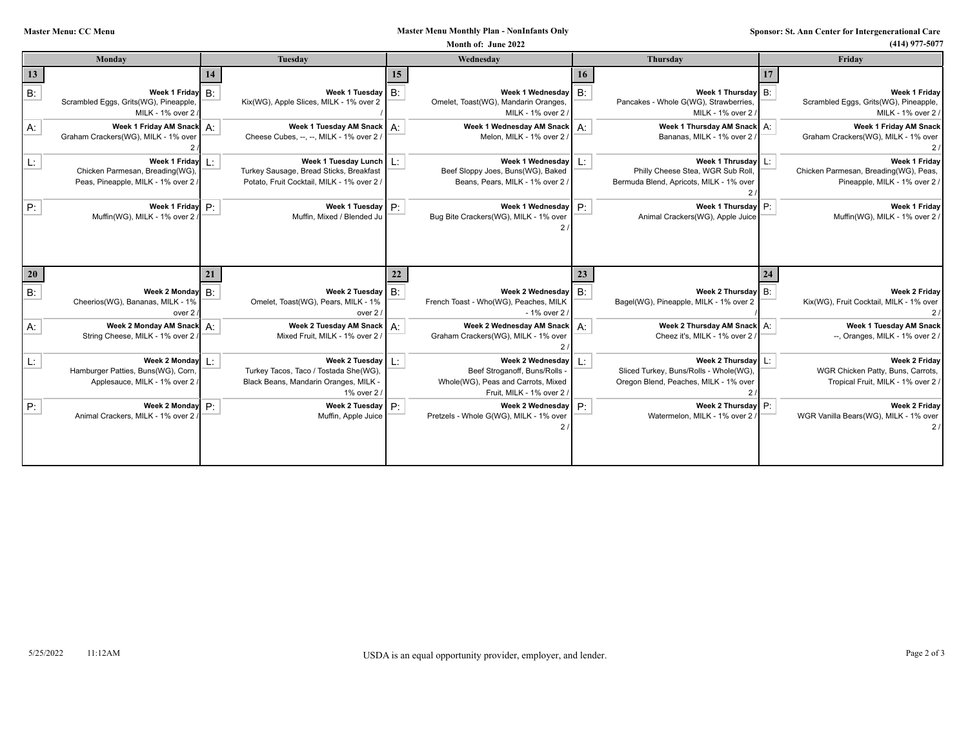## **Master Menu Monthly Plan - NonInfants Only**

|           |                                                                                                             |    |                                                                                                                                   | Month of: June 2022                                                                                                |       |                                                                                                   |    | $(414)$ 977-5077                                                                              |
|-----------|-------------------------------------------------------------------------------------------------------------|----|-----------------------------------------------------------------------------------------------------------------------------------|--------------------------------------------------------------------------------------------------------------------|-------|---------------------------------------------------------------------------------------------------|----|-----------------------------------------------------------------------------------------------|
|           | Monday                                                                                                      |    | Tuesday                                                                                                                           | Wednesday                                                                                                          |       | <b>Thursday</b>                                                                                   |    | Friday                                                                                        |
| 13        |                                                                                                             |    |                                                                                                                                   |                                                                                                                    | 16    |                                                                                                   |    |                                                                                               |
| $B$ :     | Week 1 Friday $B$ :<br>Scrambled Eggs, Grits(WG), Pineapple,<br>MILK - 1% over 2                            |    | Week 1 Tuesday   B:<br>Kix(WG), Apple Slices, MILK - 1% over 2                                                                    | Week 1 Wednesday   B:<br>Omelet, Toast(WG), Mandarin Oranges,<br>MILK - 1% over 2 /                                |       | Week 1 Thursday   B:<br>Pancakes - Whole G(WG), Strawberries,<br>MILK - 1% over 2                 |    | Week 1 Friday<br>Scrambled Eggs, Grits(WG), Pineapple,<br>MILK - 1% over 2                    |
| A:        | Week 1 Friday AM Snack A:<br>Graham Crackers(WG), MILK - 1% over                                            |    | Week 1 Tuesday AM Snack   A:<br>Cheese Cubes, --, --, MILK - 1% over 2 /                                                          | Week 1 Wednesday AM Snack<br>Melon, MILK - 1% over 2 /                                                             | $A$ : | Week 1 Thursday AM Snack<br>Bananas, MILK - 1% over 2                                             | А: | Week 1 Friday AM Snack<br>Graham Crackers(WG), MILK - 1% over                                 |
| L.        | Week 1 Friday $L$ :<br>Chicken Parmesan, Breading(WG),<br>Peas, Pineapple, MILK - 1% over 2                 |    | Week 1 Tuesday Lunch   L:<br>Turkey Sausage, Bread Sticks, Breakfast<br>Potato, Fruit Cocktail, MILK - 1% over 2 /                | Week 1 Wednesday<br>Beef Sloppy Joes, Buns(WG), Baked<br>Beans, Pears, MILK - 1% over 2 /                          |       | Week 1 Thrusday<br>Philly Cheese Stea, WGR Sub Roll<br>Bermuda Blend, Apricots, MILK - 1% over    |    | Week 1 Friday<br>Chicken Parmesan, Breading(WG), Peas,<br>Pineapple, MILK - 1% over 2         |
| P:        | Week 1 Friday $P$ :<br>Muffin(WG), MILK - 1% over 2                                                         |    | Week 1 Tuesday   P:<br>Muffin, Mixed / Blended Ju                                                                                 | Week 1 Wednesday<br>Bug Bite Crackers(WG), MILK - 1% over                                                          | P:    | Week 1 Thursday<br>Animal Crackers(WG), Apple Juice                                               | P: | Week 1 Friday<br>Muffin(WG), MILK - 1% over 2                                                 |
| <b>20</b> |                                                                                                             | 21 |                                                                                                                                   |                                                                                                                    |       |                                                                                                   | 24 |                                                                                               |
| B:        | Week 2 Monday $\mathsf{B}$ :<br>Cheerios(WG), Bananas, MILK - 1%<br>over 2                                  |    | Week 2 Tuesday $\mid$ B:<br>Omelet, Toast(WG), Pears, MILK - 1%<br>over $2/$                                                      | Week 2 Wednesday $\mathsf{B}$ :<br>French Toast - Who(WG), Peaches, MILK<br>- 1% over 2 /                          |       | Week 2 Thursday<br>Bagel(WG), Pineapple, MILK - 1% over 2                                         | B: | Week 2 Friday<br>Kix(WG), Fruit Cocktail, MILK - 1% over                                      |
| $A$ :     | Week 2 Monday AM Snack A:<br>String Cheese, MILK - 1% over 2                                                |    | Week 2 Tuesday AM Snack   A:<br>Mixed Fruit, MILK - 1% over 2 /                                                                   | Week 2 Wednesday AM Snack<br>Graham Crackers(WG), MILK - 1% over                                                   | $A$ : | Week 2 Thursday AM Snack<br>Cheez it's, MILK - 1% over 2                                          | А: | Week 1 Tuesday AM Snack<br>--, Oranges, MILK - 1% over 2.                                     |
| L.        | Week 2 Monday $\lfloor \cdot \rfloor$<br>Hamburger Patties, Buns(WG), Corn,<br>Applesauce, MILK - 1% over 2 |    | Week 2 Tuesday $\vert \; \vert$ :<br>Turkey Tacos, Taco / Tostada She(WG),<br>Black Beans, Mandarin Oranges, MILK -<br>1% over 2/ | Week 2 Wednesday<br>Beef Stroganoff, Buns/Rolls<br>Whole(WG), Peas and Carrots, Mixed<br>Fruit, MILK - 1% over 2 / |       | Week 2 Thursday<br>Sliced Turkey, Buns/Rolls - Whole(WG)<br>Oregon Blend, Peaches, MILK - 1% over | Ŀ: | <b>Week 2 Friday</b><br>WGR Chicken Patty, Buns, Carrots,<br>Tropical Fruit, MILK - 1% over 2 |
| P:        | Week 2 Monday $P$ :<br>Animal Crackers, MILK - 1% over 2                                                    |    | Week 2 Tuesday $\mathsf{P}$ :<br>Muffin, Apple Juice                                                                              | Week 2 Wednesday<br>Pretzels - Whole G(WG), MILK - 1% over                                                         | P:    | Week 2 Thursday<br>Watermelon, MILK - 1% over 2                                                   | P: | Week 2 Fridav<br>WGR Vanilla Bears(WG), MILK - 1% over                                        |
|           |                                                                                                             |    |                                                                                                                                   |                                                                                                                    |       |                                                                                                   |    |                                                                                               |